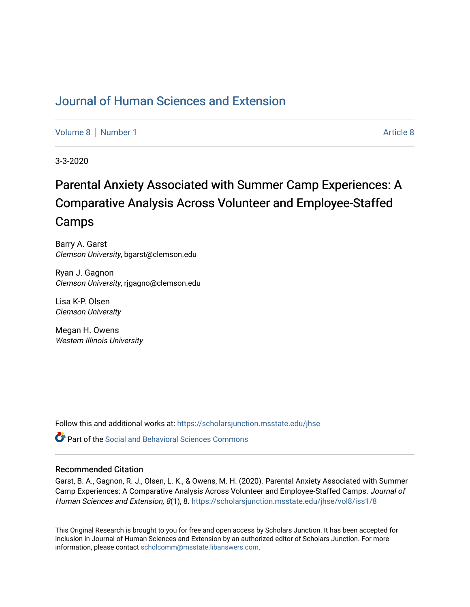## [Journal of Human Sciences and Extension](https://scholarsjunction.msstate.edu/jhse)

[Volume 8](https://scholarsjunction.msstate.edu/jhse/vol8) | [Number 1](https://scholarsjunction.msstate.edu/jhse/vol8/iss1) [Article 8](https://scholarsjunction.msstate.edu/jhse/vol8/iss1/8) | Article 8 | Article 8 | Article 8 | Article 8 | Article 8 | Article 8 | Article 8 | Article 8 | Article 8 | Article 8 | Article 8 | Article 8 | Article 8 | Article 8 | Article 8 | Article 8

3-3-2020

# Parental Anxiety Associated with Summer Camp Experiences: A Comparative Analysis Across Volunteer and Employee-Staffed Camps

Barry A. Garst Clemson University, bgarst@clemson.edu

Ryan J. Gagnon Clemson University, rjgagno@clemson.edu

Lisa K-P. Olsen Clemson University

Megan H. Owens Western Illinois University

Follow this and additional works at: [https://scholarsjunction.msstate.edu/jhse](https://scholarsjunction.msstate.edu/jhse?utm_source=scholarsjunction.msstate.edu%2Fjhse%2Fvol8%2Fiss1%2F8&utm_medium=PDF&utm_campaign=PDFCoverPages)

 $\bullet$  Part of the Social and Behavioral Sciences Commons

#### Recommended Citation

Garst, B. A., Gagnon, R. J., Olsen, L. K., & Owens, M. H. (2020). Parental Anxiety Associated with Summer Camp Experiences: A Comparative Analysis Across Volunteer and Employee-Staffed Camps. Journal of Human Sciences and Extension, 8(1), 8. [https://scholarsjunction.msstate.edu/jhse/vol8/iss1/8](https://scholarsjunction.msstate.edu/jhse/vol8/iss1/8?utm_source=scholarsjunction.msstate.edu%2Fjhse%2Fvol8%2Fiss1%2F8&utm_medium=PDF&utm_campaign=PDFCoverPages)

This Original Research is brought to you for free and open access by Scholars Junction. It has been accepted for inclusion in Journal of Human Sciences and Extension by an authorized editor of Scholars Junction. For more information, please contact [scholcomm@msstate.libanswers.com](mailto:scholcomm@msstate.libanswers.com).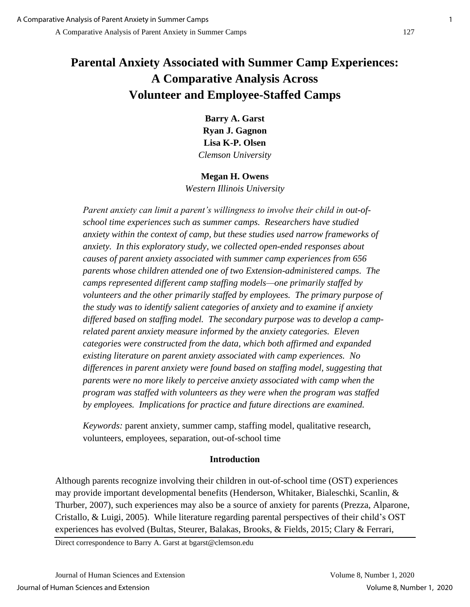## **Parental Anxiety Associated with Summer Camp Experiences: A Comparative Analysis Across Volunteer and Employee-Staffed Camps**

**Barry A. Garst Ryan J. Gagnon Lisa K-P. Olsen** *Clemson University*

## **Megan H. Owens**

*Western Illinois University*

*Parent anxiety can limit a parent's willingness to involve their child in out-ofschool time experiences such as summer camps. Researchers have studied anxiety within the context of camp, but these studies used narrow frameworks of anxiety. In this exploratory study, we collected open-ended responses about causes of parent anxiety associated with summer camp experiences from 656 parents whose children attended one of two Extension-administered camps. The camps represented different camp staffing models—one primarily staffed by volunteers and the other primarily staffed by employees. The primary purpose of the study was to identify salient categories of anxiety and to examine if anxiety differed based on staffing model. The secondary purpose was to develop a camprelated parent anxiety measure informed by the anxiety categories. Eleven categories were constructed from the data, which both affirmed and expanded existing literature on parent anxiety associated with camp experiences. No differences in parent anxiety were found based on staffing model, suggesting that parents were no more likely to perceive anxiety associated with camp when the program was staffed with volunteers as they were when the program was staffed by employees. Implications for practice and future directions are examined.*

*Keywords:* parent anxiety, summer camp, staffing model, qualitative research, volunteers, employees, separation, out-of-school time

## **Introduction**

Although parents recognize involving their children in out-of-school time (OST) experiences may provide important developmental benefits (Henderson, Whitaker, Bialeschki, Scanlin, & Thurber, 2007), such experiences may also be a source of anxiety for parents (Prezza, Alparone, Cristallo, & Luigi, 2005). While literature regarding parental perspectives of their child's OST experiences has evolved (Bultas, Steurer, Balakas, Brooks, & Fields, 2015; Clary & Ferrari,

Direct correspondence to Barry A. Garst at bgarst@clemson.edu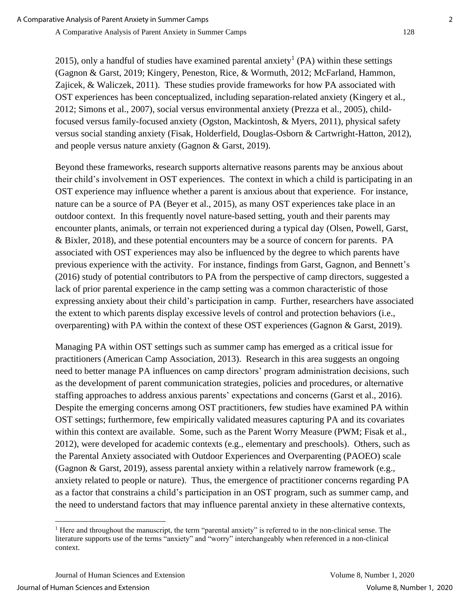2015), only a handful of studies have examined parental anxiety<sup>1</sup> (PA) within these settings (Gagnon & Garst, 2019; Kingery, Peneston, Rice, & Wormuth, 2012; McFarland, Hammon, Zajicek, & Waliczek, 2011). These studies provide frameworks for how PA associated with OST experiences has been conceptualized, including separation-related anxiety (Kingery et al., 2012; Simons et al., 2007), social versus environmental anxiety (Prezza et al., 2005), childfocused versus family-focused anxiety (Ogston, Mackintosh, & Myers, 2011), physical safety versus social standing anxiety (Fisak, Holderfield, Douglas-Osborn & Cartwright-Hatton, 2012), and people versus nature anxiety (Gagnon & Garst, 2019).

Beyond these frameworks, research supports alternative reasons parents may be anxious about their child's involvement in OST experiences. The context in which a child is participating in an OST experience may influence whether a parent is anxious about that experience. For instance, nature can be a source of PA (Beyer et al., 2015), as many OST experiences take place in an outdoor context. In this frequently novel nature-based setting, youth and their parents may encounter plants, animals, or terrain not experienced during a typical day (Olsen, Powell, Garst, & Bixler, 2018), and these potential encounters may be a source of concern for parents. PA associated with OST experiences may also be influenced by the degree to which parents have previous experience with the activity. For instance, findings from Garst, Gagnon, and Bennett's (2016) study of potential contributors to PA from the perspective of camp directors, suggested a lack of prior parental experience in the camp setting was a common characteristic of those expressing anxiety about their child's participation in camp. Further, researchers have associated the extent to which parents display excessive levels of control and protection behaviors (i.e., overparenting) with PA within the context of these OST experiences (Gagnon & Garst, 2019).

Managing PA within OST settings such as summer camp has emerged as a critical issue for practitioners (American Camp Association, 2013). Research in this area suggests an ongoing need to better manage PA influences on camp directors' program administration decisions, such as the development of parent communication strategies, policies and procedures, or alternative staffing approaches to address anxious parents' expectations and concerns (Garst et al., 2016). Despite the emerging concerns among OST practitioners, few studies have examined PA within OST settings; furthermore, few empirically validated measures capturing PA and its covariates within this context are available. Some, such as the Parent Worry Measure (PWM; Fisak et al., 2012), were developed for academic contexts (e.g., elementary and preschools). Others, such as the Parental Anxiety associated with Outdoor Experiences and Overparenting (PAOEO) scale (Gagnon & Garst, 2019), assess parental anxiety within a relatively narrow framework (e.g., anxiety related to people or nature). Thus, the emergence of practitioner concerns regarding PA as a factor that constrains a child's participation in an OST program, such as summer camp, and the need to understand factors that may influence parental anxiety in these alternative contexts,

<sup>&</sup>lt;sup>1</sup> Here and throughout the manuscript, the term "parental anxiety" is referred to in the non-clinical sense. The literature supports use of the terms "anxiety" and "worry" interchangeably when referenced in a non-clinical context.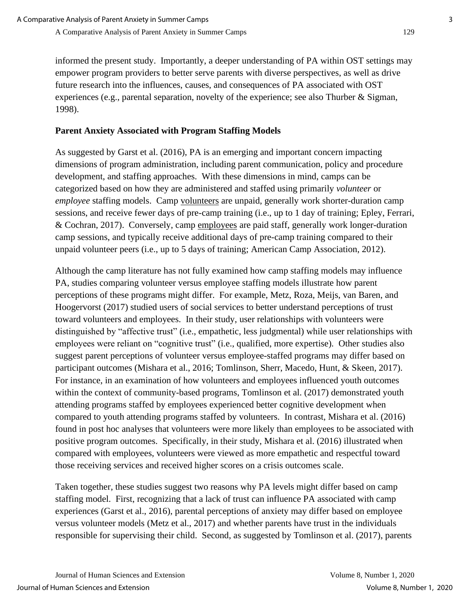informed the present study. Importantly, a deeper understanding of PA within OST settings may empower program providers to better serve parents with diverse perspectives, as well as drive future research into the influences, causes, and consequences of PA associated with OST experiences (e.g., parental separation, novelty of the experience; see also Thurber & Sigman, 1998).

## **Parent Anxiety Associated with Program Staffing Models**

As suggested by Garst et al. (2016), PA is an emerging and important concern impacting dimensions of program administration, including parent communication, policy and procedure development, and staffing approaches. With these dimensions in mind, camps can be categorized based on how they are administered and staffed using primarily *volunteer* or *employee* staffing models. Camp volunteers are unpaid, generally work shorter-duration camp sessions, and receive fewer days of pre-camp training (i.e., up to 1 day of training; Epley, Ferrari, & Cochran, 2017). Conversely, camp employees are paid staff, generally work longer-duration camp sessions, and typically receive additional days of pre-camp training compared to their unpaid volunteer peers (i.e., up to 5 days of training; American Camp Association, 2012).

Although the camp literature has not fully examined how camp staffing models may influence PA, studies comparing volunteer versus employee staffing models illustrate how parent perceptions of these programs might differ. For example, Metz, Roza, Meijs, van Baren, and Hoogervorst (2017) studied users of social services to better understand perceptions of trust toward volunteers and employees. In their study, user relationships with volunteers were distinguished by "affective trust" (i.e., empathetic, less judgmental) while user relationships with employees were reliant on "cognitive trust" (i.e., qualified, more expertise). Other studies also suggest parent perceptions of volunteer versus employee-staffed programs may differ based on participant outcomes (Mishara et al., 2016; Tomlinson, Sherr, Macedo, Hunt, & Skeen, 2017). For instance, in an examination of how volunteers and employees influenced youth outcomes within the context of community-based programs, Tomlinson et al. (2017) demonstrated youth attending programs staffed by employees experienced better cognitive development when compared to youth attending programs staffed by volunteers. In contrast, Mishara et al. (2016) found in post hoc analyses that volunteers were more likely than employees to be associated with positive program outcomes. Specifically, in their study, Mishara et al. (2016) illustrated when compared with employees, volunteers were viewed as more empathetic and respectful toward those receiving services and received higher scores on a crisis outcomes scale.

Taken together, these studies suggest two reasons why PA levels might differ based on camp staffing model. First, recognizing that a lack of trust can influence PA associated with camp experiences (Garst et al., 2016), parental perceptions of anxiety may differ based on employee versus volunteer models (Metz et al., 2017) and whether parents have trust in the individuals responsible for supervising their child. Second, as suggested by Tomlinson et al. (2017), parents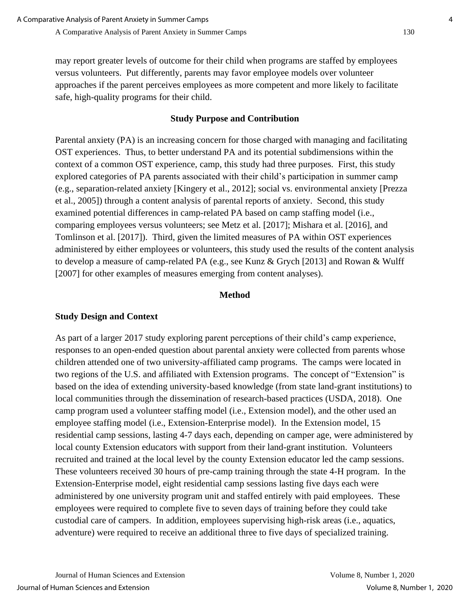may report greater levels of outcome for their child when programs are staffed by employees versus volunteers. Put differently, parents may favor employee models over volunteer approaches if the parent perceives employees as more competent and more likely to facilitate safe, high-quality programs for their child.

#### **Study Purpose and Contribution**

Parental anxiety (PA) is an increasing concern for those charged with managing and facilitating OST experiences. Thus, to better understand PA and its potential subdimensions within the context of a common OST experience, camp, this study had three purposes. First, this study explored categories of PA parents associated with their child's participation in summer camp (e.g., separation-related anxiety [Kingery et al., 2012]; social vs. environmental anxiety [Prezza et al., 2005]) through a content analysis of parental reports of anxiety. Second, this study examined potential differences in camp-related PA based on camp staffing model (i.e., comparing employees versus volunteers; see Metz et al. [2017]; Mishara et al. [2016], and Tomlinson et al. [2017]). Third, given the limited measures of PA within OST experiences administered by either employees or volunteers, this study used the results of the content analysis to develop a measure of camp-related PA (e.g., see Kunz & Grych [2013] and Rowan & Wulff [2007] for other examples of measures emerging from content analyses).

## **Method**

## **Study Design and Context**

As part of a larger 2017 study exploring parent perceptions of their child's camp experience, responses to an open-ended question about parental anxiety were collected from parents whose children attended one of two university-affiliated camp programs. The camps were located in two regions of the U.S. and affiliated with Extension programs. The concept of "Extension" is based on the idea of extending university-based knowledge (from state land-grant institutions) to local communities through the dissemination of research-based practices (USDA, 2018). One camp program used a volunteer staffing model (i.e., Extension model), and the other used an employee staffing model (i.e., Extension-Enterprise model). In the Extension model, 15 residential camp sessions, lasting 4-7 days each, depending on camper age, were administered by local county Extension educators with support from their land-grant institution. Volunteers recruited and trained at the local level by the county Extension educator led the camp sessions. These volunteers received 30 hours of pre-camp training through the state 4-H program. In the Extension-Enterprise model, eight residential camp sessions lasting five days each were administered by one university program unit and staffed entirely with paid employees. These employees were required to complete five to seven days of training before they could take custodial care of campers. In addition, employees supervising high-risk areas (i.e., aquatics, adventure) were required to receive an additional three to five days of specialized training.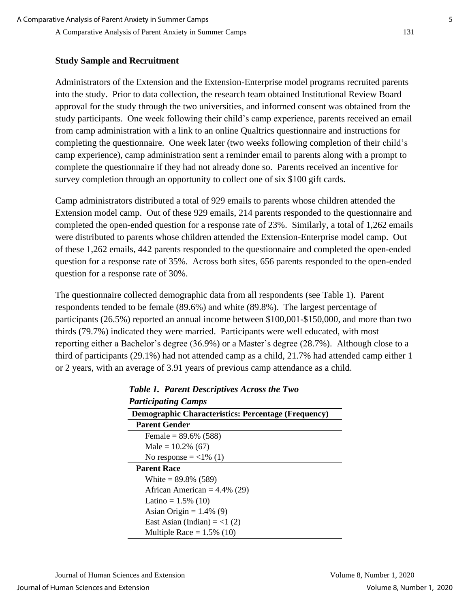#### **Study Sample and Recruitment**

Administrators of the Extension and the Extension-Enterprise model programs recruited parents into the study. Prior to data collection, the research team obtained Institutional Review Board approval for the study through the two universities, and informed consent was obtained from the study participants. One week following their child's camp experience, parents received an email from camp administration with a link to an online Qualtrics questionnaire and instructions for completing the questionnaire. One week later (two weeks following completion of their child's camp experience), camp administration sent a reminder email to parents along with a prompt to complete the questionnaire if they had not already done so. Parents received an incentive for survey completion through an opportunity to collect one of six \$100 gift cards.

Camp administrators distributed a total of 929 emails to parents whose children attended the Extension model camp. Out of these 929 emails, 214 parents responded to the questionnaire and completed the open-ended question for a response rate of 23%. Similarly, a total of 1,262 emails were distributed to parents whose children attended the Extension-Enterprise model camp. Out of these 1,262 emails, 442 parents responded to the questionnaire and completed the open-ended question for a response rate of 35%. Across both sites, 656 parents responded to the open-ended question for a response rate of 30%.

The questionnaire collected demographic data from all respondents (see Table 1). Parent respondents tended to be female (89.6%) and white (89.8%). The largest percentage of participants (26.5%) reported an annual income between \$100,001-\$150,000, and more than two thirds (79.7%) indicated they were married. Participants were well educated, with most reporting either a Bachelor's degree (36.9%) or a Master's degree (28.7%). Although close to a third of participants (29.1%) had not attended camp as a child, 21.7% had attended camp either 1 or 2 years, with an average of 3.91 years of previous camp attendance as a child.

| <b>Demographic Characteristics: Percentage (Frequency)</b> |                                 |
|------------------------------------------------------------|---------------------------------|
|                                                            | <b>Parent Gender</b>            |
|                                                            | Female = $89.6\%$ (588)         |
|                                                            | Male = $10.2\%$ (67)            |
|                                                            | No response $=$ <1% (1)         |
|                                                            | <b>Parent Race</b>              |
|                                                            | White = $89.8\%$ (589)          |
|                                                            | African American = $4.4\%$ (29) |
|                                                            | Latino = $1.5\%$ (10)           |
|                                                            | Asian Origin = $1.4\%$ (9)      |
|                                                            | East Asian (Indian) = $<1$ (2)  |
|                                                            | Multiple Race = $1.5\%$ (10)    |

*Table 1. Parent Descriptives Across the Two*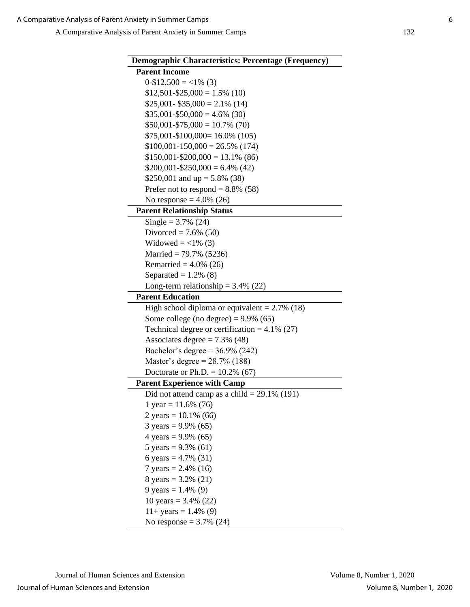| <b>Demographic Characteristics: Percentage (Frequency)</b> |
|------------------------------------------------------------|
| <b>Parent Income</b>                                       |
| $0-12,500 = 1\%$ (3)                                       |
| $$12,501 - $25,000 = 1.5\%$ (10)                           |
| $$25,001 - $35,000 = 2.1\%$ (14)                           |
| $$35,001 - $50,000 = 4.6\%$ (30)                           |
| $$50,001 - $75,000 = 10.7\%$ (70)                          |
| $$75,001 - $100,000 = 16.0\%$ (105)                        |
| $$100,001-150,000 = 26.5\%$ (174)                          |
| $$150,001 - $200,000 = 13.1\%$ (86)                        |
| $$200,001 - $250,000 = 6.4\%$ (42)                         |
| \$250,001 and $up = 5.8\%$ (38)                            |
| Prefer not to respond = $8.8\%$ (58)                       |
| No response = $4.0\%$ (26)                                 |
| <b>Parent Relationship Status</b>                          |
| Single = $3.7\%$ (24)                                      |
| Divorced = $7.6\%$ (50)                                    |
| Widowed = $\langle 1\%$ (3)                                |
| Married = $79.7\%$ (5236)                                  |
| Remarried = $4.0\%$ (26)                                   |
| Separated = $1.2\%$ (8)                                    |
| Long-term relationship = $3.4\%$ (22)                      |
| <b>Parent Education</b>                                    |
|                                                            |
| High school diploma or equivalent = $2.7\%$ (18)           |
| Some college (no degree) = $9.9\%$ (65)                    |
| Technical degree or certification = $4.1\%$ (27)           |
| Associates degree = $7.3\%$ (48)                           |
| Bachelor's degree = $36.9\%$ (242)                         |
| Master's degree = $28.7\%$ (188)                           |
| Doctorate or Ph.D. = $10.2\%$ (67)                         |
| <b>Parent Experience with Camp</b>                         |
| Did not attend camp as a child = $29.1\%$ (191)            |
| 1 year = $11.6\%$ (76)                                     |
| 2 years = $10.1\%$ (66)                                    |
| $3 \text{ years} = 9.9\% (65)$                             |
| 4 years = $9.9\%$ (65)                                     |
| 5 years = $9.3\%$ (61)                                     |
| 6 years = $4.7\%$ (31)                                     |
| 7 years = $2.4\%$ (16)                                     |
| 8 years = $3.2\%$ (21)                                     |
| 9 years = $1.4\%$ (9)                                      |
| 10 years = $3.4\%$ (22)                                    |
| $11+ years = 1.4\% (9)$                                    |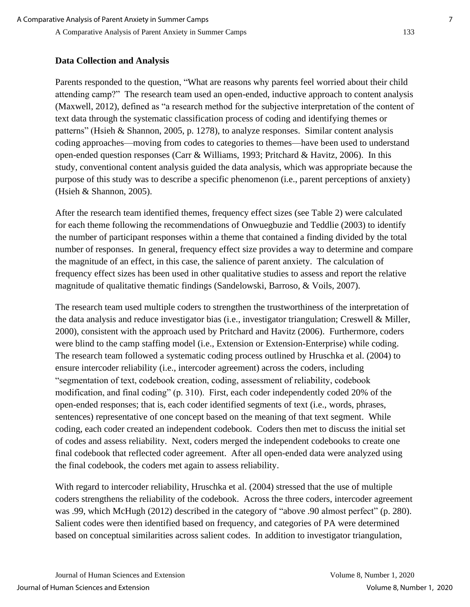#### **Data Collection and Analysis**

Parents responded to the question, "What are reasons why parents feel worried about their child attending camp?" The research team used an open-ended, inductive approach to content analysis (Maxwell, 2012), defined as "a research method for the subjective interpretation of the content of text data through the systematic classification process of coding and identifying themes or patterns" (Hsieh & Shannon, 2005, p. 1278), to analyze responses. Similar content analysis coding approaches—moving from codes to categories to themes—have been used to understand open-ended question responses (Carr & Williams, 1993; Pritchard & Havitz, 2006). In this study, conventional content analysis guided the data analysis, which was appropriate because the purpose of this study was to describe a specific phenomenon (i.e., parent perceptions of anxiety) (Hsieh & Shannon, 2005).

After the research team identified themes, frequency effect sizes (see Table 2) were calculated for each theme following the recommendations of Onwuegbuzie and Teddlie (2003) to identify the number of participant responses within a theme that contained a finding divided by the total number of responses. In general, frequency effect size provides a way to determine and compare the magnitude of an effect, in this case, the salience of parent anxiety. The calculation of frequency effect sizes has been used in other qualitative studies to assess and report the relative magnitude of qualitative thematic findings (Sandelowski, Barroso, & Voils, 2007).

The research team used multiple coders to strengthen the trustworthiness of the interpretation of the data analysis and reduce investigator bias (i.e., investigator triangulation; Creswell & Miller, 2000), consistent with the approach used by Pritchard and Havitz (2006). Furthermore, coders were blind to the camp staffing model (i.e., Extension or Extension-Enterprise) while coding. The research team followed a systematic coding process outlined by Hruschka et al. (2004) to ensure intercoder reliability (i.e., intercoder agreement) across the coders, including "segmentation of text, codebook creation, coding, assessment of reliability, codebook modification, and final coding" (p. 310). First, each coder independently coded 20% of the open-ended responses; that is, each coder identified segments of text (i.e., words, phrases, sentences) representative of one concept based on the meaning of that text segment. While coding, each coder created an independent codebook. Coders then met to discuss the initial set of codes and assess reliability. Next, coders merged the independent codebooks to create one final codebook that reflected coder agreement. After all open-ended data were analyzed using the final codebook, the coders met again to assess reliability.

With regard to intercoder reliability, Hruschka et al. (2004) stressed that the use of multiple coders strengthens the reliability of the codebook. Across the three coders, intercoder agreement was .99, which McHugh (2012) described in the category of "above .90 almost perfect" (p. 280). Salient codes were then identified based on frequency, and categories of PA were determined based on conceptual similarities across salient codes. In addition to investigator triangulation,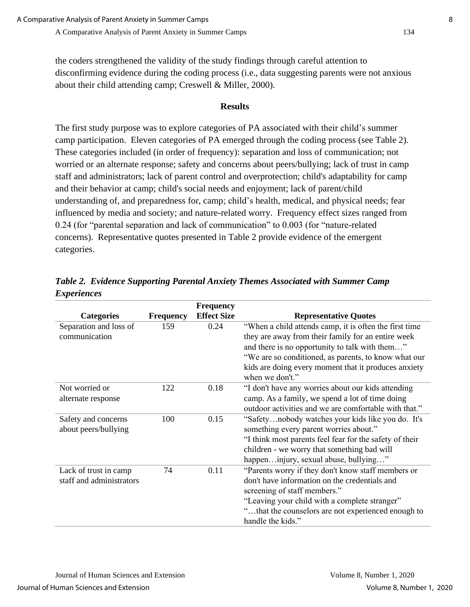the coders strengthened the validity of the study findings through careful attention to disconfirming evidence during the coding process (i.e., data suggesting parents were not anxious about their child attending camp; Creswell & Miller, 2000).

#### **Results**

The first study purpose was to explore categories of PA associated with their child's summer camp participation. Eleven categories of PA emerged through the coding process (see Table 2). These categories included (in order of frequency): separation and loss of communication; not worried or an alternate response; safety and concerns about peers/bullying; lack of trust in camp staff and administrators; lack of parent control and overprotection; child's adaptability for camp and their behavior at camp; child's social needs and enjoyment; lack of parent/child understanding of, and preparedness for, camp; child's health, medical, and physical needs; fear influenced by media and society; and nature-related worry. Frequency effect sizes ranged from 0.24 (for "parental separation and lack of communication" to 0.003 (for "nature-related concerns). Representative quotes presented in Table 2 provide evidence of the emergent categories.

|                          |                  | <b>Frequency</b>   |                                                         |
|--------------------------|------------------|--------------------|---------------------------------------------------------|
| <b>Categories</b>        | <b>Frequency</b> | <b>Effect Size</b> | <b>Representative Quotes</b>                            |
| Separation and loss of   | 159              | 0.24               | "When a child attends camp, it is often the first time  |
| communication            |                  |                    | they are away from their family for an entire week      |
|                          |                  |                    | and there is no opportunity to talk with them"          |
|                          |                  |                    | "We are so conditioned, as parents, to know what our    |
|                          |                  |                    | kids are doing every moment that it produces anxiety    |
|                          |                  |                    | when we don't."                                         |
| Not worried or           | 122              | 0.18               | "I don't have any worries about our kids attending      |
| alternate response       |                  |                    | camp. As a family, we spend a lot of time doing         |
|                          |                  |                    | outdoor activities and we are comfortable with that."   |
| Safety and concerns      | 100              | 0.15               | "Safetynobody watches your kids like you do. It's       |
| about peers/bullying     |                  |                    | something every parent worries about."                  |
|                          |                  |                    | "I think most parents feel fear for the safety of their |
|                          |                  |                    | children - we worry that something bad will             |
|                          |                  |                    | happeninjury, sexual abuse, bullying"                   |
| Lack of trust in camp    | 74               | 0.11               | "Parents worry if they don't know staff members or      |
| staff and administrators |                  |                    | don't have information on the credentials and           |
|                          |                  |                    | screening of staff members."                            |
|                          |                  |                    | "Leaving your child with a complete stranger"           |
|                          |                  |                    | "that the counselors are not experienced enough to      |
|                          |                  |                    | handle the kids."                                       |

*Table 2. Evidence Supporting Parental Anxiety Themes Associated with Summer Camp Experiences*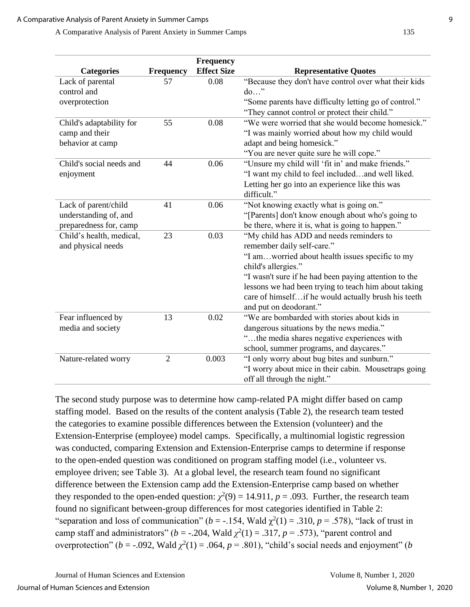|                                                                         |                  | Frequency          |                                                                                                                                                                                                                                                                                                                                                    |
|-------------------------------------------------------------------------|------------------|--------------------|----------------------------------------------------------------------------------------------------------------------------------------------------------------------------------------------------------------------------------------------------------------------------------------------------------------------------------------------------|
| <b>Categories</b>                                                       | <b>Frequency</b> | <b>Effect Size</b> | <b>Representative Quotes</b>                                                                                                                                                                                                                                                                                                                       |
| Lack of parental<br>control and                                         | 57               | 0.08               | "Because they don't have control over what their kids<br>$do$ "                                                                                                                                                                                                                                                                                    |
| overprotection                                                          |                  |                    | "Some parents have difficulty letting go of control."<br>"They cannot control or protect their child."                                                                                                                                                                                                                                             |
| Child's adaptability for<br>camp and their<br>behavior at camp          | 55               | 0.08               | "We were worried that she would become homesick."<br>"I was mainly worried about how my child would<br>adapt and being homesick."                                                                                                                                                                                                                  |
|                                                                         |                  |                    | "You are never quite sure he will cope."                                                                                                                                                                                                                                                                                                           |
| Child's social needs and<br>enjoyment                                   | 44               | 0.06               | "Unsure my child will 'fit in' and make friends."<br>"I want my child to feel includedand well liked.<br>Letting her go into an experience like this was<br>difficult."                                                                                                                                                                            |
| Lack of parent/child<br>understanding of, and<br>preparedness for, camp | 41               | 0.06               | "Not knowing exactly what is going on."<br>"[Parents] don't know enough about who's going to<br>be there, where it is, what is going to happen."                                                                                                                                                                                                   |
| Child's health, medical,<br>and physical needs                          | 23               | 0.03               | "My child has ADD and needs reminders to<br>remember daily self-care."<br>"I amworried about health issues specific to my<br>child's allergies."<br>"I wasn't sure if he had been paying attention to the<br>lessons we had been trying to teach him about taking<br>care of himselfif he would actually brush his teeth<br>and put on deodorant." |
| Fear influenced by<br>media and society                                 | 13               | 0.02               | "We are bombarded with stories about kids in<br>dangerous situations by the news media."<br>"the media shares negative experiences with<br>school, summer programs, and daycares."                                                                                                                                                                 |
| Nature-related worry                                                    | $\overline{2}$   | 0.003              | "I only worry about bug bites and sunburn."<br>"I worry about mice in their cabin. Mousetraps going<br>off all through the night."                                                                                                                                                                                                                 |

The second study purpose was to determine how camp-related PA might differ based on camp staffing model. Based on the results of the content analysis (Table 2), the research team tested the categories to examine possible differences between the Extension (volunteer) and the Extension-Enterprise (employee) model camps. Specifically, a multinomial logistic regression was conducted, comparing Extension and Extension-Enterprise camps to determine if response to the open-ended question was conditioned on program staffing model (i.e., volunteer vs. employee driven; see Table 3). At a global level, the research team found no significant difference between the Extension camp add the Extension-Enterprise camp based on whether they responded to the open-ended question:  $\chi^2(9) = 14.911$ ,  $p = .093$ . Further, the research team found no significant between-group differences for most categories identified in Table 2: "separation and loss of communication" ( $b = -0.154$ , Wald  $\chi^2(1) = 0.310$ ,  $p = 0.578$ ), "lack of trust in camp staff and administrators" ( $b = -.204$ , Wald  $\chi^2(1) = .317$ ,  $p = .573$ ), "parent control and overprotection" ( $b = -.092$ , Wald  $\chi^2(1) = .064$ ,  $p = .801$ ), "child's social needs and enjoyment" (*b*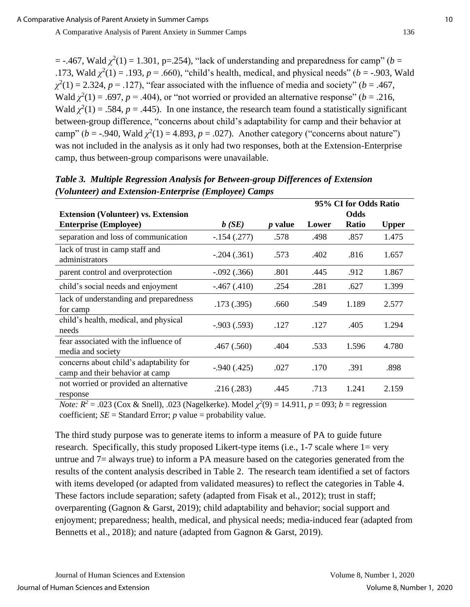$=$  -.467, Wald  $\chi^2(1) = 1.301$ , p=.254), "lack of understanding and preparedness for camp" (*b* = .173, Wald  $\chi^2(1) = .193$ ,  $p = .660$ ), "child's health, medical, and physical needs" (*b* = -.903, Wald  $\chi^2(1) = 2.324$ , *p* = .127), "fear associated with the influence of media and society" (*b* = .467, Wald  $\chi^2(1) = .697$ ,  $p = .404$ ), or "not worried or provided an alternative response" ( $b = .216$ , Wald  $\chi^2(1) = .584$ ,  $p = .445$ ). In one instance, the research team found a statistically significant between-group difference, "concerns about child's adaptability for camp and their behavior at camp" ( $b = -0.940$ , Wald  $\chi^2(1) = 4.893$ ,  $p = 0.027$ ). Another category ("concerns about nature") was not included in the analysis as it only had two responses, both at the Extension-Enterprise camp, thus between-group comparisons were unavailable.

|                                                                            |               |                |       | 95% CI for Odds Ratio |              |
|----------------------------------------------------------------------------|---------------|----------------|-------|-----------------------|--------------|
| <b>Extension (Volunteer) vs. Extension</b>                                 |               |                |       | Odds                  |              |
| <b>Enterprise (Employee)</b>                                               | b(SE)         | <i>p</i> value | Lower | Ratio                 | <b>Upper</b> |
| separation and loss of communication                                       | $-.154(.277)$ | .578           | .498  | .857                  | 1.475        |
| lack of trust in camp staff and<br>administrators                          | $-.204(.361)$ | .573           | .402  | .816                  | 1.657        |
| parent control and overprotection                                          | $-.092(.366)$ | .801           | .445  | .912                  | 1.867        |
| child's social needs and enjoyment                                         | $-.467(.410)$ | .254           | .281  | .627                  | 1.399        |
| lack of understanding and preparedness<br>for camp                         | .173(.395)    | .660           | .549  | 1.189                 | 2.577        |
| child's health, medical, and physical<br>needs                             | $-.903(.593)$ | .127           | .127  | .405                  | 1.294        |
| fear associated with the influence of<br>media and society                 | .467(.560)    | .404           | .533  | 1.596                 | 4.780        |
| concerns about child's adaptability for<br>camp and their behavior at camp | $-.940(.425)$ | .027           | .170  | .391                  | .898         |
| not worried or provided an alternative<br>response                         | .216(.283)    | .445           | .713  | 1.241                 | 2.159        |

*Table 3. Multiple Regression Analysis for Between-group Differences of Extension (Volunteer) and Extension-Enterprise (Employee) Camps*

*Note:*  $R^2 = .023$  (Cox & Snell), .023 (Nagelkerke). Model  $\chi^2(9) = 14.911$ ,  $p = 093$ ;  $b =$  regression coefficient;  $SE =$  Standard Error; *p* value = probability value.

The third study purpose was to generate items to inform a measure of PA to guide future research. Specifically, this study proposed Likert-type items (i.e., 1-7 scale where 1= very untrue and 7= always true) to inform a PA measure based on the categories generated from the results of the content analysis described in Table 2. The research team identified a set of factors with items developed (or adapted from validated measures) to reflect the categories in Table 4. These factors include separation; safety (adapted from Fisak et al., 2012); trust in staff; overparenting (Gagnon & Garst, 2019); child adaptability and behavior; social support and enjoyment; preparedness; health, medical, and physical needs; media-induced fear (adapted from Bennetts et al., 2018); and nature (adapted from Gagnon & Garst, 2019).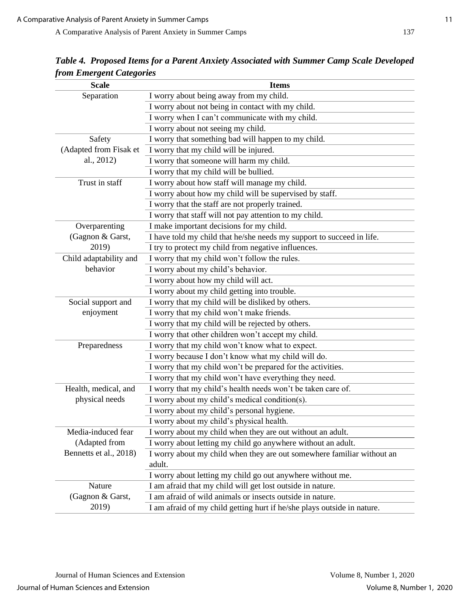| <b>Scale</b>           | <b>Items</b>                                                            |
|------------------------|-------------------------------------------------------------------------|
| Separation             | I worry about being away from my child.                                 |
|                        | I worry about not being in contact with my child.                       |
|                        | I worry when I can't communicate with my child.                         |
|                        | I worry about not seeing my child.                                      |
| Safety                 | I worry that something bad will happen to my child.                     |
| (Adapted from Fisak et | I worry that my child will be injured.                                  |
| al., 2012)             | I worry that someone will harm my child.                                |
|                        | I worry that my child will be bullied.                                  |
| Trust in staff         | I worry about how staff will manage my child.                           |
|                        | I worry about how my child will be supervised by staff.                 |
|                        | I worry that the staff are not properly trained.                        |
|                        | I worry that staff will not pay attention to my child.                  |
| Overparenting          | I make important decisions for my child.                                |
| (Gagnon & Garst,       | I have told my child that he/she needs my support to succeed in life.   |
| 2019)                  | I try to protect my child from negative influences.                     |
| Child adaptability and | I worry that my child won't follow the rules.                           |
| behavior               | I worry about my child's behavior.                                      |
|                        | I worry about how my child will act.                                    |
|                        | I worry about my child getting into trouble.                            |
| Social support and     | I worry that my child will be disliked by others.                       |
| enjoyment              | I worry that my child won't make friends.                               |
|                        | I worry that my child will be rejected by others.                       |
|                        | I worry that other children won't accept my child.                      |
| Preparedness           | I worry that my child won't know what to expect.                        |
|                        | I worry because I don't know what my child will do.                     |
|                        | I worry that my child won't be prepared for the activities.             |
|                        | I worry that my child won't have everything they need.                  |
| Health, medical, and   | I worry that my child's health needs won't be taken care of.            |
| physical needs         | I worry about my child's medical condition(s).                          |
|                        | I worry about my child's personal hygiene.                              |
|                        | I worry about my child's physical health.                               |
| Media-induced fear     | I worry about my child when they are out without an adult.              |
| (Adapted from          | I worry about letting my child go anywhere without an adult.            |
| Bennetts et al., 2018) | I worry about my child when they are out somewhere familiar without an  |
|                        | adult.                                                                  |
|                        | I worry about letting my child go out anywhere without me.              |
| Nature                 | I am afraid that my child will get lost outside in nature.              |
| (Gagnon & Garst,       | I am afraid of wild animals or insects outside in nature.               |
| 2019)                  | I am afraid of my child getting hurt if he/she plays outside in nature. |

*Table 4. Proposed Items for a Parent Anxiety Associated with Summer Camp Scale Developed from Emergent Categories*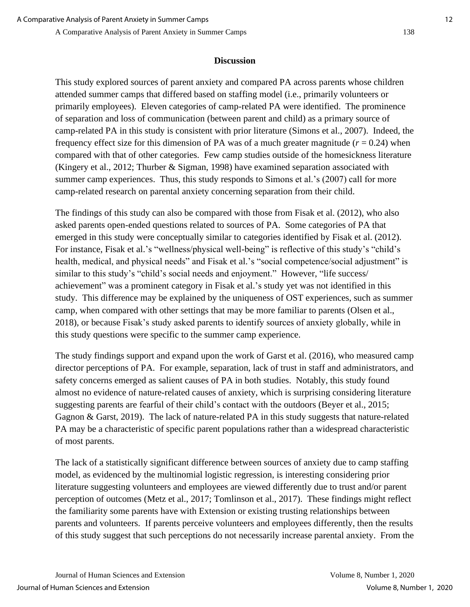#### **Discussion**

This study explored sources of parent anxiety and compared PA across parents whose children attended summer camps that differed based on staffing model (i.e., primarily volunteers or primarily employees). Eleven categories of camp-related PA were identified. The prominence of separation and loss of communication (between parent and child) as a primary source of camp-related PA in this study is consistent with prior literature (Simons et al., 2007). Indeed, the frequency effect size for this dimension of PA was of a much greater magnitude  $(r = 0.24)$  when compared with that of other categories. Few camp studies outside of the homesickness literature (Kingery et al., 2012; Thurber & Sigman, 1998) have examined separation associated with summer camp experiences. Thus, this study responds to Simons et al.'s (2007) call for more camp-related research on parental anxiety concerning separation from their child.

The findings of this study can also be compared with those from Fisak et al. (2012), who also asked parents open-ended questions related to sources of PA. Some categories of PA that emerged in this study were conceptually similar to categories identified by Fisak et al. (2012). For instance, Fisak et al.'s "wellness/physical well-being" is reflective of this study's "child's health, medical, and physical needs" and Fisak et al.'s "social competence/social adjustment" is similar to this study's "child's social needs and enjoyment." However, "life success/ achievement" was a prominent category in Fisak et al.'s study yet was not identified in this study. This difference may be explained by the uniqueness of OST experiences, such as summer camp, when compared with other settings that may be more familiar to parents (Olsen et al., 2018), or because Fisak's study asked parents to identify sources of anxiety globally, while in this study questions were specific to the summer camp experience.

The study findings support and expand upon the work of Garst et al. (2016), who measured camp director perceptions of PA. For example, separation, lack of trust in staff and administrators, and safety concerns emerged as salient causes of PA in both studies. Notably, this study found almost no evidence of nature-related causes of anxiety, which is surprising considering literature suggesting parents are fearful of their child's contact with the outdoors (Beyer et al., 2015; Gagnon & Garst, 2019). The lack of nature-related PA in this study suggests that nature-related PA may be a characteristic of specific parent populations rather than a widespread characteristic of most parents.

The lack of a statistically significant difference between sources of anxiety due to camp staffing model, as evidenced by the multinomial logistic regression, is interesting considering prior literature suggesting volunteers and employees are viewed differently due to trust and/or parent perception of outcomes (Metz et al., 2017; Tomlinson et al., 2017). These findings might reflect the familiarity some parents have with Extension or existing trusting relationships between parents and volunteers. If parents perceive volunteers and employees differently, then the results of this study suggest that such perceptions do not necessarily increase parental anxiety. From the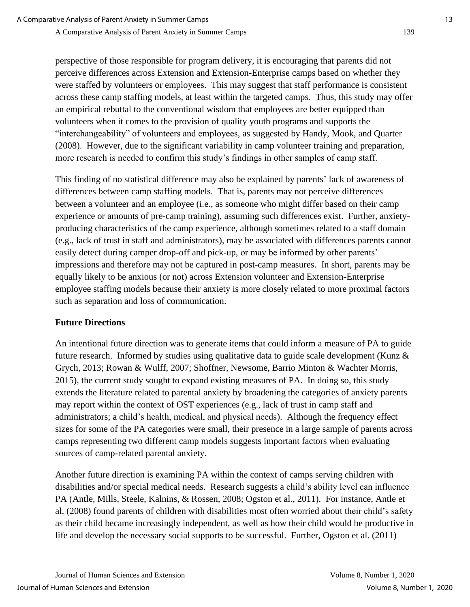perspective of those responsible for program delivery, it is encouraging that parents did not perceive differences across Extension and Extension-Enterprise camps based on whether they were staffed by volunteers or employees. This may suggest that staff performance is consistent across these camp staffing models, at least within the targeted camps. Thus, this study may offer an empirical rebuttal to the conventional wisdom that employees are better equipped than volunteers when it comes to the provision of quality youth programs and supports the "interchangeability" of volunteers and employees, as suggested by Handy, Mook, and Quarter (2008). However, due to the significant variability in camp volunteer training and preparation, more research is needed to confirm this study's findings in other samples of camp staff.

This finding of no statistical difference may also be explained by parents' lack of awareness of differences between camp staffing models. That is, parents may not perceive differences between a volunteer and an employee (i.e., as someone who might differ based on their camp experience or amounts of pre-camp training), assuming such differences exist. Further, anxietyproducing characteristics of the camp experience, although sometimes related to a staff domain (e.g., lack of trust in staff and administrators), may be associated with differences parents cannot easily detect during camper drop-off and pick-up, or may be informed by other parents' impressions and therefore may not be captured in post-camp measures. In short, parents may be equally likely to be anxious (or not) across Extension volunteer and Extension-Enterprise employee staffing models because their anxiety is more closely related to more proximal factors such as separation and loss of communication.

## **Future Directions**

An intentional future direction was to generate items that could inform a measure of PA to guide future research. Informed by studies using qualitative data to guide scale development (Kunz  $\&$ Grych, 2013; Rowan & Wulff, 2007; Shoffner, Newsome, Barrio Minton & Wachter Morris, 2015), the current study sought to expand existing measures of PA. In doing so, this study extends the literature related to parental anxiety by broadening the categories of anxiety parents may report within the context of OST experiences (e.g., lack of trust in camp staff and administrators; a child's health, medical, and physical needs). Although the frequency effect sizes for some of the PA categories were small, their presence in a large sample of parents across camps representing two different camp models suggests important factors when evaluating sources of camp-related parental anxiety.

Another future direction is examining PA within the context of camps serving children with disabilities and/or special medical needs. Research suggests a child's ability level can influence PA (Antle, Mills, Steele, Kalnins, & Rossen, 2008; Ogston et al., 2011). For instance, Antle et al. (2008) found parents of children with disabilities most often worried about their child's safety as their child became increasingly independent, as well as how their child would be productive in life and develop the necessary social supports to be successful. Further, Ogston et al. (2011)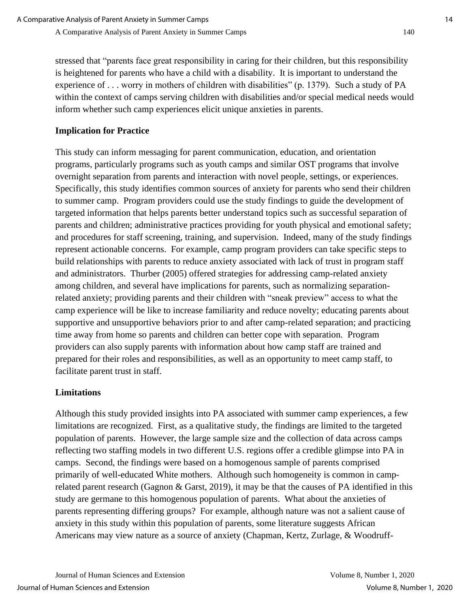stressed that "parents face great responsibility in caring for their children, but this responsibility is heightened for parents who have a child with a disability. It is important to understand the experience of . . . worry in mothers of children with disabilities" (p. 1379). Such a study of PA within the context of camps serving children with disabilities and/or special medical needs would inform whether such camp experiences elicit unique anxieties in parents.

## **Implication for Practice**

This study can inform messaging for parent communication, education, and orientation programs, particularly programs such as youth camps and similar OST programs that involve overnight separation from parents and interaction with novel people, settings, or experiences. Specifically, this study identifies common sources of anxiety for parents who send their children to summer camp. Program providers could use the study findings to guide the development of targeted information that helps parents better understand topics such as successful separation of parents and children; administrative practices providing for youth physical and emotional safety; and procedures for staff screening, training, and supervision. Indeed, many of the study findings represent actionable concerns. For example, camp program providers can take specific steps to build relationships with parents to reduce anxiety associated with lack of trust in program staff and administrators. Thurber (2005) offered strategies for addressing camp-related anxiety among children, and several have implications for parents, such as normalizing separationrelated anxiety; providing parents and their children with "sneak preview" access to what the camp experience will be like to increase familiarity and reduce novelty; educating parents about supportive and unsupportive behaviors prior to and after camp-related separation; and practicing time away from home so parents and children can better cope with separation. Program providers can also supply parents with information about how camp staff are trained and prepared for their roles and responsibilities, as well as an opportunity to meet camp staff, to facilitate parent trust in staff.

## **Limitations**

Although this study provided insights into PA associated with summer camp experiences, a few limitations are recognized. First, as a qualitative study, the findings are limited to the targeted population of parents. However, the large sample size and the collection of data across camps reflecting two staffing models in two different U.S. regions offer a credible glimpse into PA in camps. Second, the findings were based on a homogenous sample of parents comprised primarily of well-educated White mothers. Although such homogeneity is common in camprelated parent research (Gagnon & Garst, 2019), it may be that the causes of PA identified in this study are germane to this homogenous population of parents. What about the anxieties of parents representing differing groups? For example, although nature was not a salient cause of anxiety in this study within this population of parents, some literature suggests African Americans may view nature as a source of anxiety (Chapman, Kertz, Zurlage, & Woodruff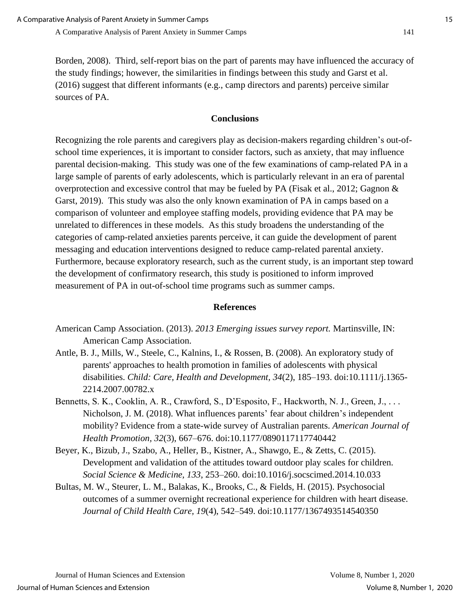Borden, 2008). Third, self-report bias on the part of parents may have influenced the accuracy of the study findings; however, the similarities in findings between this study and Garst et al. (2016) suggest that different informants (e.g., camp directors and parents) perceive similar sources of PA.

## **Conclusions**

Recognizing the role parents and caregivers play as decision-makers regarding children's out-ofschool time experiences, it is important to consider factors, such as anxiety, that may influence parental decision-making. This study was one of the few examinations of camp-related PA in a large sample of parents of early adolescents, which is particularly relevant in an era of parental overprotection and excessive control that may be fueled by PA (Fisak et al., 2012; Gagnon & Garst, 2019). This study was also the only known examination of PA in camps based on a comparison of volunteer and employee staffing models, providing evidence that PA may be unrelated to differences in these models. As this study broadens the understanding of the categories of camp-related anxieties parents perceive, it can guide the development of parent messaging and education interventions designed to reduce camp-related parental anxiety. Furthermore, because exploratory research, such as the current study, is an important step toward the development of confirmatory research, this study is positioned to inform improved measurement of PA in out-of-school time programs such as summer camps.

## **References**

- American Camp Association. (2013). *2013 Emerging issues survey report.* Martinsville, IN: American Camp Association.
- Antle, B. J., Mills, W., Steele, C., Kalnins, I., & Rossen, B. (2008). An exploratory study of parents' approaches to health promotion in families of adolescents with physical disabilities. *Child: Care, Health and Development, 34*(2), 185–193. doi:10.1111/j.1365- 2214.2007.00782.x
- Bennetts, S. K., Cooklin, A. R., Crawford, S., D'Esposito, F., Hackworth, N. J., Green, J., . . . Nicholson, J. M. (2018). What influences parents' fear about children's independent mobility? Evidence from a state-wide survey of Australian parents. *American Journal of Health Promotion, 32*(3), 667–676. doi:10.1177/0890117117740442
- Beyer, K., Bizub, J., Szabo, A., Heller, B., Kistner, A., Shawgo, E., & Zetts, C. (2015). Development and validation of the attitudes toward outdoor play scales for children. *Social Science & Medicine, 133*, 253–260. doi:10.1016/j.socscimed.2014.10.033
- Bultas, M. W., Steurer, L. M., Balakas, K., Brooks, C., & Fields, H. (2015). Psychosocial outcomes of a summer overnight recreational experience for children with heart disease. *Journal of Child Health Care, 19*(4), 542–549. doi:10.1177/1367493514540350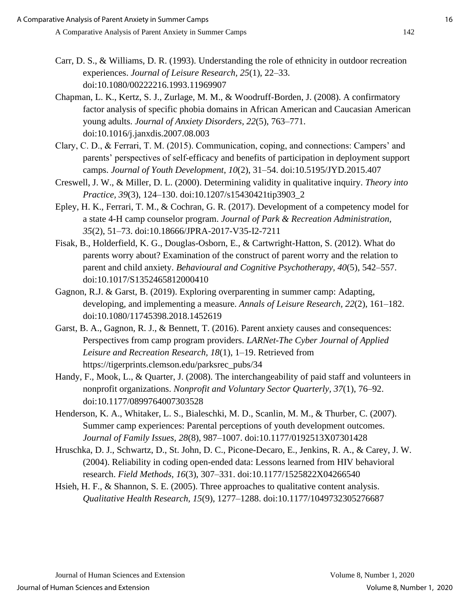- Carr, D. S., & Williams, D. R. (1993). Understanding the role of ethnicity in outdoor recreation experiences. *Journal of Leisure Research, 25*(1), 22–33. doi:10.1080/00222216.1993.11969907
- Chapman, L. K., Kertz, S. J., Zurlage, M. M., & Woodruff-Borden, J. (2008). A confirmatory factor analysis of specific phobia domains in African American and Caucasian American young adults. *Journal of Anxiety Disorders, 22*(5), 763–771. doi:10.1016/j.janxdis.2007.08.003
- Clary, C. D., & Ferrari, T. M. (2015). Communication, coping, and connections: Campers' and parents' perspectives of self-efficacy and benefits of participation in deployment support camps. *Journal of Youth Development*, *10*(2), 31–54. doi:10.5195/JYD.2015.407
- Creswell, J. W., & Miller, D. L. (2000). Determining validity in qualitative inquiry. *Theory into Practice, 39*(3), 124–130. doi:10.1207/s15430421tip3903\_2
- Epley, H. K., Ferrari, T. M., & Cochran, G. R. (2017). Development of a competency model for a state 4-H camp counselor program. *Journal of Park & Recreation Administration, 35*(2), 51–73. doi:10.18666/JPRA-2017-V35-I2-7211
- Fisak, B., Holderfield, K. G., Douglas-Osborn, E., & Cartwright-Hatton, S. (2012). What do parents worry about? Examination of the construct of parent worry and the relation to parent and child anxiety. *Behavioural and Cognitive Psychotherapy, 40*(5), 542–557. doi:10.1017/S1352465812000410
- Gagnon, R.J. & Garst, B. (2019). Exploring overparenting in summer camp: Adapting, developing, and implementing a measure. *Annals of Leisure Research, 22*(2), 161–182. doi:10.1080/11745398.2018.1452619
- Garst, B. A., Gagnon, R. J., & Bennett, T. (2016). Parent anxiety causes and consequences: Perspectives from camp program providers. *LARNet-The Cyber Journal of Applied Leisure and Recreation Research, 18*(1), 1–19. Retrieved from https://tigerprints.clemson.edu/parksrec\_pubs/34
- Handy, F., Mook, L., & Quarter, J. (2008). The interchangeability of paid staff and volunteers in nonprofit organizations. *Nonprofit and Voluntary Sector Quarterly, 37*(1), 76–92. doi:10.1177/0899764007303528
- Henderson, K. A., Whitaker, L. S., Bialeschki, M. D., Scanlin, M. M., & Thurber, C. (2007). Summer camp experiences: Parental perceptions of youth development outcomes. *Journal of Family Issues, 28*(8), 987–1007. doi:10.1177/0192513X07301428
- Hruschka, D. J., Schwartz, D., St. John, D. C., Picone-Decaro, E., Jenkins, R. A., & Carey, J. W. (2004). Reliability in coding open-ended data: Lessons learned from HIV behavioral research. *Field Methods, 16*(3), 307–331. doi:10.1177/1525822X04266540
- Hsieh, H. F., & Shannon, S. E. (2005). Three approaches to qualitative content analysis. *Qualitative Health Research, 15*(9), 1277–1288. doi:10.1177/1049732305276687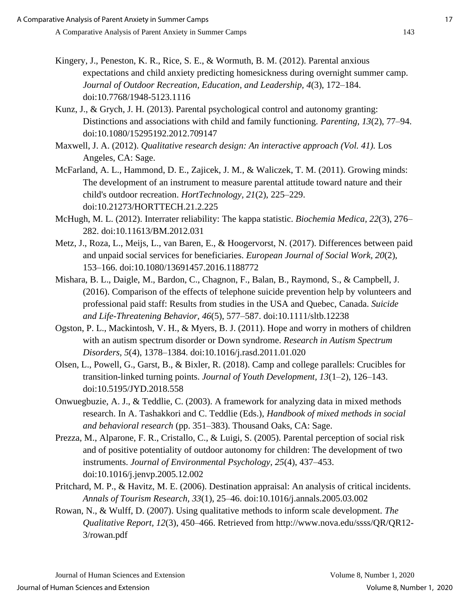- Kingery, J., Peneston, K. R., Rice, S. E., & Wormuth, B. M. (2012). Parental anxious expectations and child anxiety predicting homesickness during overnight summer camp. *Journal of Outdoor Recreation, Education, and Leadership, 4*(3), 172–184. doi:10.7768/1948-5123.1116
- Kunz, J., & Grych, J. H. (2013). Parental psychological control and autonomy granting: Distinctions and associations with child and family functioning. *Parenting, 13*(2), 77–94. doi:10.1080/15295192.2012.709147
- Maxwell, J. A. (2012). *Qualitative research design: An interactive approach (Vol. 41).* Los Angeles, CA: Sage.
- McFarland, A. L., Hammond, D. E., Zajicek, J. M., & Waliczek, T. M. (2011). Growing minds: The development of an instrument to measure parental attitude toward nature and their child's outdoor recreation. *HortTechnology, 21*(2), 225–229. doi:10.21273/HORTTECH.21.2.225
- McHugh, M. L. (2012). Interrater reliability: The kappa statistic. *Biochemia Medica, 22*(3), 276– 282. doi:10.11613/BM.2012.031
- Metz, J., Roza, L., Meijs, L., van Baren, E., & Hoogervorst, N. (2017). Differences between paid and unpaid social services for beneficiaries. *European Journal of Social Work, 20*(2), 153–166. doi:10.1080/13691457.2016.1188772
- Mishara, B. L., Daigle, M., Bardon, C., Chagnon, F., Balan, B., Raymond, S., & Campbell, J. (2016). Comparison of the effects of telephone suicide prevention help by volunteers and professional paid staff: Results from studies in the USA and Quebec, Canada. *Suicide and Life-Threatening Behavior, 46*(5), 577–587. doi:10.1111/sltb.12238
- Ogston, P. L., Mackintosh, V. H., & Myers, B. J. (2011). Hope and worry in mothers of children with an autism spectrum disorder or Down syndrome. *Research in Autism Spectrum Disorders, 5*(4), 1378–1384. doi:10.1016/j.rasd.2011.01.020
- Olsen, L., Powell, G., Garst, B., & Bixler, R. (2018). Camp and college parallels: Crucibles for transition-linked turning points. *Journal of Youth Development, 13*(1–2), 126–143. doi:10.5195/JYD.2018.558
- Onwuegbuzie, A. J., & Teddlie, C. (2003). A framework for analyzing data in mixed methods research. In A. Tashakkori and C. Teddlie (Eds.), *Handbook of mixed methods in social and behavioral research* (pp. 351–383). Thousand Oaks, CA: Sage.
- Prezza, M., Alparone, F. R., Cristallo, C., & Luigi, S. (2005). Parental perception of social risk and of positive potentiality of outdoor autonomy for children: The development of two instruments. *Journal of Environmental Psychology, 25*(4), 437–453. doi:10.1016/j.jenvp.2005.12.002
- Pritchard, M. P., & Havitz, M. E. (2006). Destination appraisal: An analysis of critical incidents. *Annals of Tourism Research, 33*(1), 25–46. doi:10.1016/j.annals.2005.03.002
- Rowan, N., & Wulff, D. (2007). Using qualitative methods to inform scale development. *The Qualitative Report, 12*(3), 450–466. Retrieved from http://www.nova.edu/ssss/QR/QR12- 3/rowan.pdf